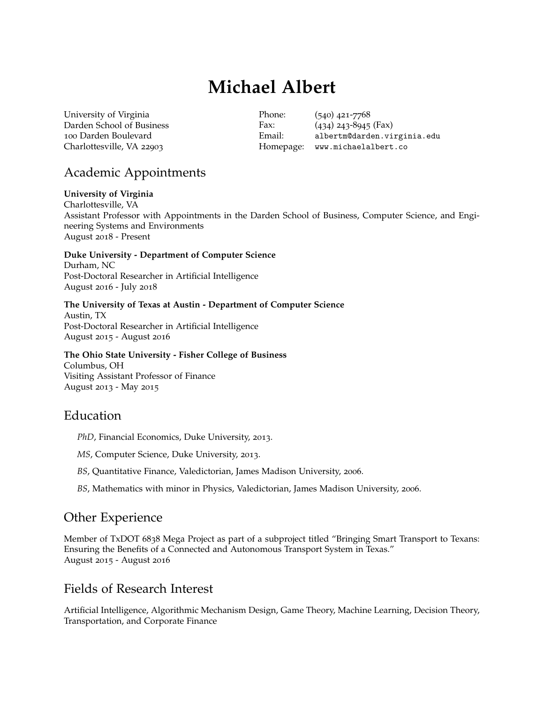# **Michael Albert**

[University of Virginia](http://www.virginia.edu) Darden School of Business 100 Darden Boulevard Charlottesville, VA 22903

Phone: (540) 421-7768 Fax: (434) 243-8945 (Fax) Email: [albertm@darden.virginia.edu](mailto:albertm@darden.virginia.edu) Homepage: <www.michaelalbert.co>

# Academic Appointments

#### **University of Virginia**

Charlottesville, VA Assistant Professor with Appointments in the Darden School of Business, Computer Science, and Engineering Systems and Environments August 2018 - Present

**Duke University - Department of Computer Science** Durham, NC Post-Doctoral Researcher in Artificial Intelligence

August 2016 - July 2018

**The University of Texas at Austin - Department of Computer Science** Austin, TX Post-Doctoral Researcher in Artificial Intelligence August 2015 - August 2016

### **The Ohio State University - Fisher College of Business**

Columbus, OH Visiting Assistant Professor of Finance August 2013 - May 2015

# Education

*PhD*, Financial Economics, Duke University, 2013.

*MS*, Computer Science, Duke University, 2013.

*BS*, Quantitative Finance, Valedictorian, James Madison University, 2006.

*BS*, Mathematics with minor in Physics, Valedictorian, James Madison University, 2006.

# Other Experience

Member of TxDOT 6838 Mega Project as part of a subproject titled "Bringing Smart Transport to Texans: Ensuring the Benefits of a Connected and Autonomous Transport System in Texas." August 2015 - August 2016

## Fields of Research Interest

Artificial Intelligence, Algorithmic Mechanism Design, Game Theory, Machine Learning, Decision Theory, Transportation, and Corporate Finance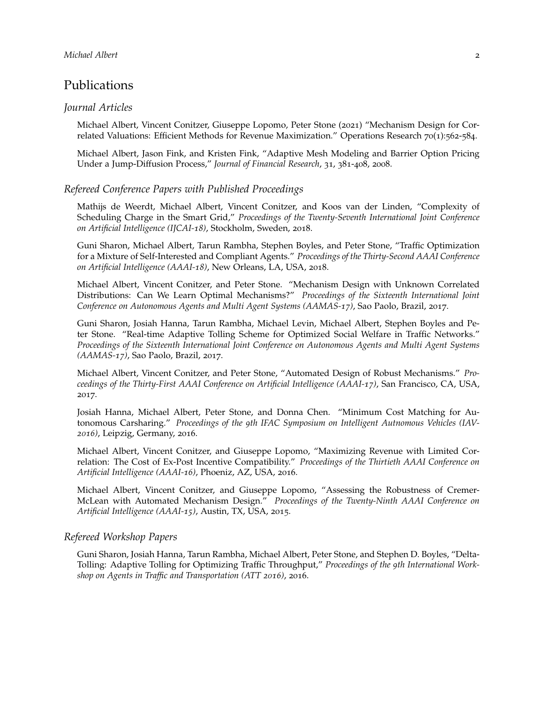### Publications

#### *Journal Articles*

Michael Albert, Vincent Conitzer, Giuseppe Lopomo, Peter Stone (2021) "Mechanism Design for Correlated Valuations: Efficient Methods for Revenue Maximization." Operations Research 70(1):562-584.

Michael Albert, Jason Fink, and Kristen Fink, "Adaptive Mesh Modeling and Barrier Option Pricing Under a Jump-Diffusion Process," *Journal of Financial Research*, 31, 381-408, 2008.

#### *Refereed Conference Papers with Published Proceedings*

Mathijs de Weerdt, Michael Albert, Vincent Conitzer, and Koos van der Linden, "Complexity of Scheduling Charge in the Smart Grid," *Proceedings of the Twenty-Seventh International Joint Conference on Artificial Intelligence (IJCAI-18)*, Stockholm, Sweden, 2018.

Guni Sharon, Michael Albert, Tarun Rambha, Stephen Boyles, and Peter Stone, "Traffic Optimization for a Mixture of Self-Interested and Compliant Agents." *Proceedings of the Thirty-Second AAAI Conference on Artificial Intelligence (AAAI-18)*, New Orleans, LA, USA, 2018.

Michael Albert, Vincent Conitzer, and Peter Stone. "Mechanism Design with Unknown Correlated Distributions: Can We Learn Optimal Mechanisms?" *Proceedings of the Sixteenth International Joint Conference on Autonomous Agents and Multi Agent Systems (AAMAS-17)*, Sao Paolo, Brazil, 2017.

Guni Sharon, Josiah Hanna, Tarun Rambha, Michael Levin, Michael Albert, Stephen Boyles and Peter Stone. "Real-time Adaptive Tolling Scheme for Optimized Social Welfare in Traffic Networks." *Proceedings of the Sixteenth International Joint Conference on Autonomous Agents and Multi Agent Systems (AAMAS-17)*, Sao Paolo, Brazil, 2017.

Michael Albert, Vincent Conitzer, and Peter Stone, "Automated Design of Robust Mechanisms." *Proceedings of the Thirty-First AAAI Conference on Artificial Intelligence (AAAI-17)*, San Francisco, CA, USA, 2017.

Josiah Hanna, Michael Albert, Peter Stone, and Donna Chen. "Minimum Cost Matching for Autonomous Carsharing." *Proceedings of the 9th IFAC Symposium on Intelligent Autnomous Vehicles (IAV-2016)*, Leipzig, Germany, 2016.

Michael Albert, Vincent Conitzer, and Giuseppe Lopomo, "Maximizing Revenue with Limited Correlation: The Cost of Ex-Post Incentive Compatibility." *Proceedings of the Thirtieth AAAI Conference on Artificial Intelligence (AAAI-16)*, Phoeniz, AZ, USA, 2016.

Michael Albert, Vincent Conitzer, and Giuseppe Lopomo, "Assessing the Robustness of Cremer-McLean with Automated Mechanism Design." *Proceedings of the Twenty-Ninth AAAI Conference on Artificial Intelligence (AAAI-15)*, Austin, TX, USA, 2015.

#### *Refereed Workshop Papers*

Guni Sharon, Josiah Hanna, Tarun Rambha, Michael Albert, Peter Stone, and Stephen D. Boyles, "Delta-Tolling: Adaptive Tolling for Optimizing Traffic Throughput," *Proceedings of the 9th International Workshop on Agents in Traffic and Transportation (ATT 2016)*, 2016.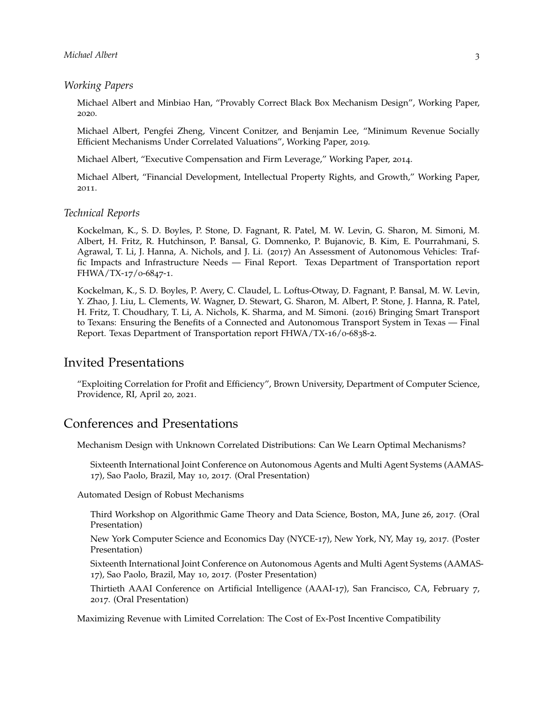#### *Working Papers*

Michael Albert and Minbiao Han, "Provably Correct Black Box Mechanism Design", Working Paper, 2020.

Michael Albert, Pengfei Zheng, Vincent Conitzer, and Benjamin Lee, "Minimum Revenue Socially Efficient Mechanisms Under Correlated Valuations", Working Paper, 2019.

Michael Albert, "Executive Compensation and Firm Leverage," Working Paper, 2014.

Michael Albert, "Financial Development, Intellectual Property Rights, and Growth," Working Paper, 2011.

#### *Technical Reports*

Kockelman, K., S. D. Boyles, P. Stone, D. Fagnant, R. Patel, M. W. Levin, G. Sharon, M. Simoni, M. Albert, H. Fritz, R. Hutchinson, P. Bansal, G. Domnenko, P. Bujanovic, B. Kim, E. Pourrahmani, S. Agrawal, T. Li, J. Hanna, A. Nichols, and J. Li. (2017) An Assessment of Autonomous Vehicles: Traffic Impacts and Infrastructure Needs — Final Report. Texas Department of Transportation report FHWA/TX-17/0-6847-1.

Kockelman, K., S. D. Boyles, P. Avery, C. Claudel, L. Loftus-Otway, D. Fagnant, P. Bansal, M. W. Levin, Y. Zhao, J. Liu, L. Clements, W. Wagner, D. Stewart, G. Sharon, M. Albert, P. Stone, J. Hanna, R. Patel, H. Fritz, T. Choudhary, T. Li, A. Nichols, K. Sharma, and M. Simoni. (2016) Bringing Smart Transport to Texans: Ensuring the Benefits of a Connected and Autonomous Transport System in Texas — Final Report. Texas Department of Transportation report FHWA/TX-16/0-6838-2.

### Invited Presentations

"Exploiting Correlation for Profit and Efficiency", Brown University, Department of Computer Science, Providence, RI, April 20, 2021.

### Conferences and Presentations

Mechanism Design with Unknown Correlated Distributions: Can We Learn Optimal Mechanisms?

Sixteenth International Joint Conference on Autonomous Agents and Multi Agent Systems (AAMAS-17), Sao Paolo, Brazil, May 10, 2017. (Oral Presentation)

Automated Design of Robust Mechanisms

Third Workshop on Algorithmic Game Theory and Data Science, Boston, MA, June 26, 2017. (Oral Presentation)

New York Computer Science and Economics Day (NYCE-17), New York, NY, May 19, 2017. (Poster Presentation)

Sixteenth International Joint Conference on Autonomous Agents and Multi Agent Systems (AAMAS-17), Sao Paolo, Brazil, May 10, 2017. (Poster Presentation)

Thirtieth AAAI Conference on Artificial Intelligence (AAAI-17), San Francisco, CA, February 7, 2017. (Oral Presentation)

Maximizing Revenue with Limited Correlation: The Cost of Ex-Post Incentive Compatibility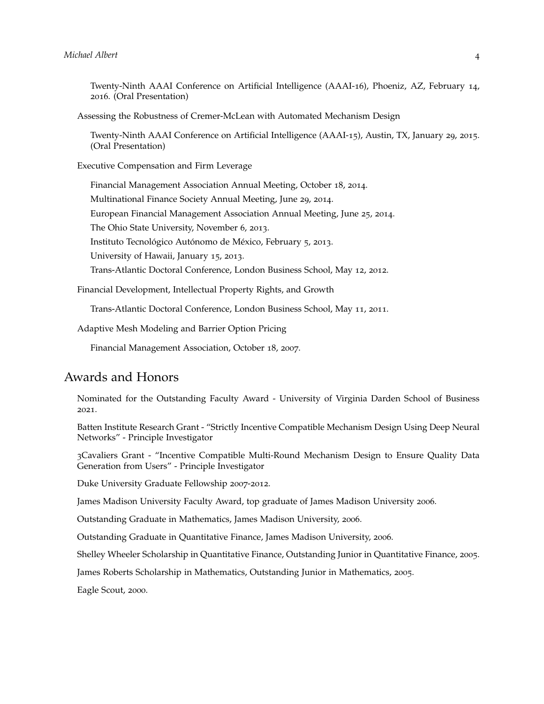Twenty-Ninth AAAI Conference on Artificial Intelligence (AAAI-16), Phoeniz, AZ, February 14, 2016. (Oral Presentation)

Assessing the Robustness of Cremer-McLean with Automated Mechanism Design

Twenty-Ninth AAAI Conference on Artificial Intelligence (AAAI-15), Austin, TX, January 29, 2015. (Oral Presentation)

Executive Compensation and Firm Leverage

Financial Management Association Annual Meeting, October 18, 2014. Multinational Finance Society Annual Meeting, June 29, 2014. European Financial Management Association Annual Meeting, June 25, 2014. The Ohio State University, November 6, 2013. Instituto Tecnológico Autónomo de México, February 5, 2013. University of Hawaii, January 15, 2013. Trans-Atlantic Doctoral Conference, London Business School, May 12, 2012.

Financial Development, Intellectual Property Rights, and Growth

Trans-Atlantic Doctoral Conference, London Business School, May 11, 2011.

Adaptive Mesh Modeling and Barrier Option Pricing

Financial Management Association, October 18, 2007.

### Awards and Honors

Nominated for the Outstanding Faculty Award - University of Virginia Darden School of Business 2021.

Batten Institute Research Grant - "Strictly Incentive Compatible Mechanism Design Using Deep Neural Networks" - Principle Investigator

3Cavaliers Grant - "Incentive Compatible Multi-Round Mechanism Design to Ensure Quality Data Generation from Users" - Principle Investigator

Duke University Graduate Fellowship 2007-2012.

James Madison University Faculty Award, top graduate of James Madison University 2006.

Outstanding Graduate in Mathematics, James Madison University, 2006.

Outstanding Graduate in Quantitative Finance, James Madison University, 2006.

Shelley Wheeler Scholarship in Quantitative Finance, Outstanding Junior in Quantitative Finance, 2005.

James Roberts Scholarship in Mathematics, Outstanding Junior in Mathematics, 2005.

Eagle Scout, 2000.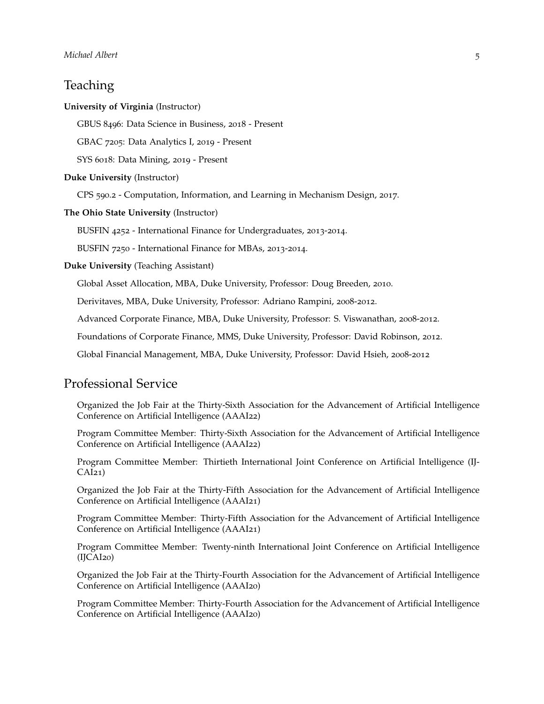# **Teaching**

#### **University of Virginia** (Instructor)

GBUS 8496: Data Science in Business, 2018 - Present

GBAC 7205: Data Analytics I, 2019 - Present

SYS 6018: Data Mining, 2019 - Present

#### **Duke University** (Instructor)

CPS 590.2 - Computation, Information, and Learning in Mechanism Design, 2017.

**The Ohio State University** (Instructor)

BUSFIN 4252 - International Finance for Undergraduates, 2013-2014.

BUSFIN 7250 - International Finance for MBAs, 2013-2014.

**Duke University** (Teaching Assistant)

Global Asset Allocation, MBA, Duke University, Professor: Doug Breeden, 2010.

Derivitaves, MBA, Duke University, Professor: Adriano Rampini, 2008-2012.

Advanced Corporate Finance, MBA, Duke University, Professor: S. Viswanathan, 2008-2012.

Foundations of Corporate Finance, MMS, Duke University, Professor: David Robinson, 2012.

Global Financial Management, MBA, Duke University, Professor: David Hsieh, 2008-2012

### Professional Service

Organized the Job Fair at the Thirty-Sixth Association for the Advancement of Artificial Intelligence Conference on Artificial Intelligence (AAAI22)

Program Committee Member: Thirty-Sixth Association for the Advancement of Artificial Intelligence Conference on Artificial Intelligence (AAAI22)

Program Committee Member: Thirtieth International Joint Conference on Artificial Intelligence (IJ- $CAI21$ 

Organized the Job Fair at the Thirty-Fifth Association for the Advancement of Artificial Intelligence Conference on Artificial Intelligence (AAAI21)

Program Committee Member: Thirty-Fifth Association for the Advancement of Artificial Intelligence Conference on Artificial Intelligence (AAAI21)

Program Committee Member: Twenty-ninth International Joint Conference on Artificial Intelligence (IJCAI20)

Organized the Job Fair at the Thirty-Fourth Association for the Advancement of Artificial Intelligence Conference on Artificial Intelligence (AAAI20)

Program Committee Member: Thirty-Fourth Association for the Advancement of Artificial Intelligence Conference on Artificial Intelligence (AAAI20)